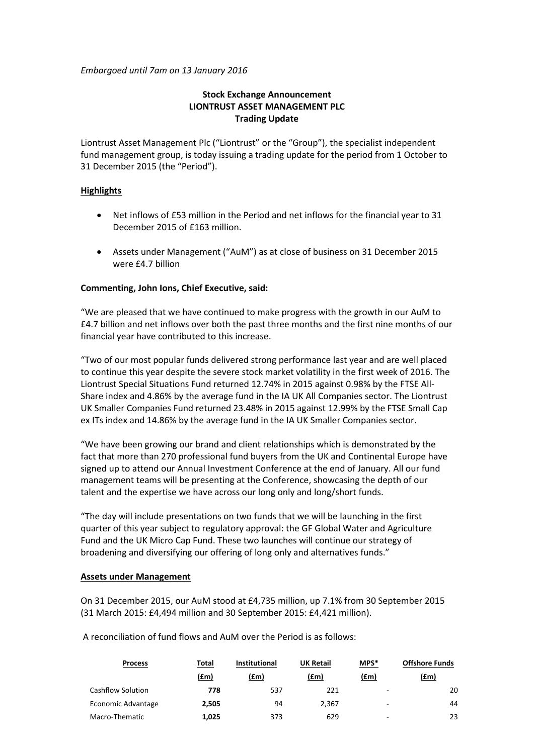*Embargoed until 7am on 13 January 2016*

# **Stock Exchange Announcement LIONTRUST ASSET MANAGEMENT PLC Trading Update**

Liontrust Asset Management Plc ("Liontrust" or the "Group"), the specialist independent fund management group, is today issuing a trading update for the period from 1 October to 31 December 2015 (the "Period").

## **Highlights**

- Net inflows of £53 million in the Period and net inflows for the financial year to 31 December 2015 of £163 million.
- Assets under Management ("AuM") as at close of business on 31 December 2015 were £4.7 billion

# **Commenting, John Ions, Chief Executive, said:**

"We are pleased that we have continued to make progress with the growth in our AuM to £4.7 billion and net inflows over both the past three months and the first nine months of our financial year have contributed to this increase.

"Two of our most popular funds delivered strong performance last year and are well placed to continue this year despite the severe stock market volatility in the first week of 2016. The Liontrust Special Situations Fund returned 12.74% in 2015 against 0.98% by the FTSE All-Share index and 4.86% by the average fund in the IA UK All Companies sector. The Liontrust UK Smaller Companies Fund returned 23.48% in 2015 against 12.99% by the FTSE Small Cap ex ITs index and 14.86% by the average fund in the IA UK Smaller Companies sector.

"We have been growing our brand and client relationships which is demonstrated by the fact that more than 270 professional fund buyers from the UK and Continental Europe have signed up to attend our Annual Investment Conference at the end of January. All our fund management teams will be presenting at the Conference, showcasing the depth of our talent and the expertise we have across our long only and long/short funds.

"The day will include presentations on two funds that we will be launching in the first quarter of this year subject to regulatory approval: the GF Global Water and Agriculture Fund and the UK Micro Cap Fund. These two launches will continue our strategy of broadening and diversifying our offering of long only and alternatives funds."

## **Assets under Management**

On 31 December 2015, our AuM stood at £4,735 million, up 7.1% from 30 September 2015 (31 March 2015: £4,494 million and 30 September 2015: £4,421 million).

A reconciliation of fund flows and AuM over the Period is as follows:

| <b>Process</b>     | Total | <b>Institutional</b> | <b>UK Retail</b> | MPS*                     | <b>Offshore Funds</b> |
|--------------------|-------|----------------------|------------------|--------------------------|-----------------------|
|                    | (£m)  | (£m)                 | (£m)             | (fm)                     | (fm)                  |
| Cashflow Solution  | 778   | 537                  | 221              | ٠                        | 20                    |
| Economic Advantage | 2.505 | 94                   | 2.367            | ٠                        | 44                    |
| Macro-Thematic     | 1.025 | 373                  | 629              | $\overline{\phantom{a}}$ | 23                    |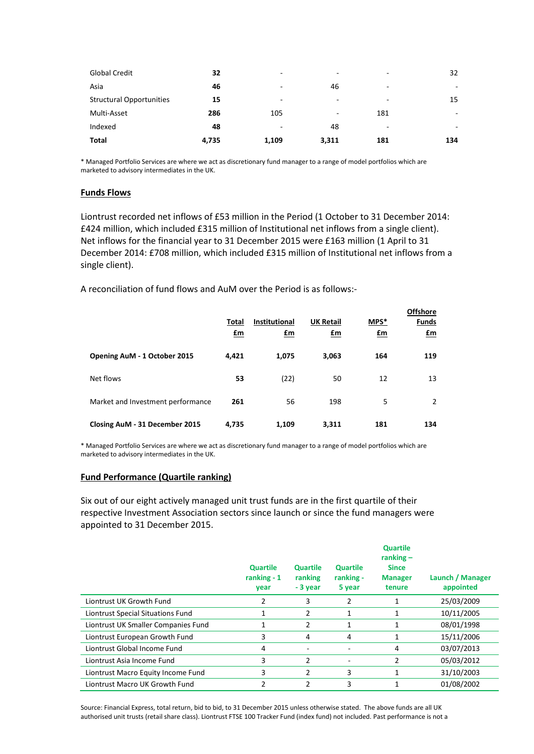| <b>Global Credit</b>            | 32    | -                        | $\overline{\phantom{a}}$ | ٠   | 32  |
|---------------------------------|-------|--------------------------|--------------------------|-----|-----|
| Asia                            | 46    | -                        | 46                       | -   | ۰   |
| <b>Structural Opportunities</b> | 15    | -                        | ۰                        | ٠   | 15  |
| Multi-Asset                     | 286   | 105                      | ۰                        | 181 | ٠   |
| Indexed                         | 48    | $\overline{\phantom{a}}$ | 48                       | -   | ۰   |
| Total                           | 4,735 | 1,109                    | 3,311                    | 181 | 134 |

\* Managed Portfolio Services are where we act as discretionary fund manager to a range of model portfolios which are marketed to advisory intermediates in the UK.

## **Funds Flows**

Liontrust recorded net inflows of £53 million in the Period (1 October to 31 December 2014: £424 million, which included £315 million of Institutional net inflows from a single client). Net inflows for the financial year to 31 December 2015 were £163 million (1 April to 31 December 2014: £708 million, which included £315 million of Institutional net inflows from a single client).

A reconciliation of fund flows and AuM over the Period is as follows:-

|                                   | Total<br>£m | <b>Institutional</b><br>£m | <b>UK Retail</b><br>£m | MPS*<br>£m | <b>Offshore</b><br><b>Funds</b><br>$\mathbf{f}$ m |
|-----------------------------------|-------------|----------------------------|------------------------|------------|---------------------------------------------------|
| Opening AuM - 1 October 2015      | 4,421       | 1,075                      | 3,063                  | 164        | 119                                               |
| Net flows                         | 53          | (22)                       | 50                     | 12         | 13                                                |
| Market and Investment performance | 261         | 56                         | 198                    | 5          | $\overline{2}$                                    |
| Closing AuM - 31 December 2015    | 4,735       | 1,109                      | 3,311                  | 181        | 134                                               |

\* Managed Portfolio Services are where we act as discretionary fund manager to a range of model portfolios which are marketed to advisory intermediates in the UK.

### **Fund Performance (Quartile ranking)**

Six out of our eight actively managed unit trust funds are in the first quartile of their respective Investment Association sectors since launch or since the fund managers were appointed to 31 December 2015.

|                                     | <b>Quartile</b><br>ranking $-1$<br>year | <b>Quartile</b><br>ranking<br>- 3 year | <b>Quartile</b><br>ranking -<br>5 year | <b>Quartile</b><br>ranking $-$<br><b>Since</b><br><b>Manager</b><br>tenure | Launch / Manager<br>appointed |
|-------------------------------------|-----------------------------------------|----------------------------------------|----------------------------------------|----------------------------------------------------------------------------|-------------------------------|
| Liontrust UK Growth Fund            | 2                                       | 3                                      | 2                                      | 1                                                                          | 25/03/2009                    |
| Liontrust Special Situations Fund   | 1                                       | 2                                      | 1                                      | 1                                                                          | 10/11/2005                    |
| Liontrust UK Smaller Companies Fund |                                         | 2                                      | 1                                      | 1                                                                          | 08/01/1998                    |
| Liontrust European Growth Fund      | 3                                       | 4                                      | 4                                      | 1                                                                          | 15/11/2006                    |
| Liontrust Global Income Fund        | 4                                       | $\overline{\phantom{a}}$               |                                        | 4                                                                          | 03/07/2013                    |
| Liontrust Asia Income Fund          | 3                                       | $\mathcal{P}$                          | ۰                                      | 2                                                                          | 05/03/2012                    |
| Liontrust Macro Equity Income Fund  | 3                                       | 2                                      | 3                                      | 1                                                                          | 31/10/2003                    |
| Liontrust Macro UK Growth Fund      | $\mathfrak z$                           | $\mathfrak z$                          | 3                                      |                                                                            | 01/08/2002                    |

Source: Financial Express, total return, bid to bid, to 31 December 2015 unless otherwise stated. The above funds are all UK authorised unit trusts (retail share class). Liontrust FTSE 100 Tracker Fund (index fund) not included. Past performance is not a